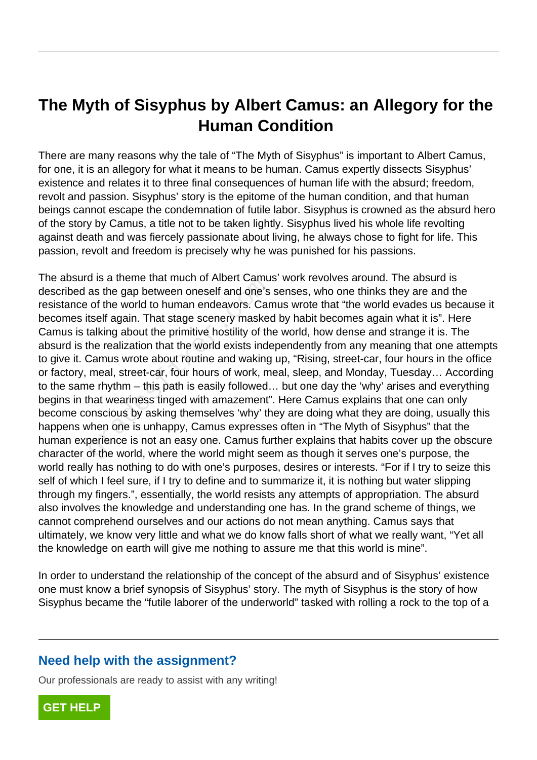## **The Myth of Sisyphus by Albert Camus: an Allegory for the Human Condition**

There are many reasons why the tale of "The Myth of Sisyphus" is important to Albert Camus, for one, it is an allegory for what it means to be human. Camus expertly dissects Sisyphus' existence and relates it to three final consequences of human life with the absurd; freedom, revolt and passion. Sisyphus' story is the epitome of the human condition, and that human beings cannot escape the condemnation of futile labor. Sisyphus is crowned as the absurd hero of the story by Camus, a title not to be taken lightly. Sisyphus lived his whole life revolting against death and was fiercely passionate about living, he always chose to fight for life. This passion, revolt and freedom is precisely why he was punished for his passions.

The absurd is a theme that much of Albert Camus' work revolves around. The absurd is described as the gap between oneself and one's senses, who one thinks they are and the resistance of the world to human endeavors. Camus wrote that "the world evades us because it becomes itself again. That stage scenery masked by habit becomes again what it is". Here Camus is talking about the primitive hostility of the world, how dense and strange it is. The absurd is the realization that the world exists independently from any meaning that one attempts to give it. Camus wrote about routine and waking up, "Rising, street-car, four hours in the office or factory, meal, street-car, four hours of work, meal, sleep, and Monday, Tuesday… According to the same rhythm – this path is easily followed… but one day the 'why' arises and everything begins in that weariness tinged with amazement". Here Camus explains that one can only become conscious by asking themselves 'why' they are doing what they are doing, usually this happens when one is unhappy, Camus expresses often in "The Myth of Sisyphus" that the human experience is not an easy one. Camus further explains that habits cover up the obscure character of the world, where the world might seem as though it serves one's purpose, the world really has nothing to do with one's purposes, desires or interests. "For if I try to seize this self of which I feel sure, if I try to define and to summarize it, it is nothing but water slipping through my fingers.", essentially, the world resists any attempts of appropriation. The absurd also involves the knowledge and understanding one has. In the grand scheme of things, we cannot comprehend ourselves and our actions do not mean anything. Camus says that ultimately, we know very little and what we do know falls short of what we really want, "Yet all the knowledge on earth will give me nothing to assure me that this world is mine". as the gap between oneself and one's<br>as the gap between oneself and one's<br>of the world to human endeavors. Can<br>tself again. That stage scenery masked<br>talking about the primitive hostility of th<br>he realization that the worl

In order to understand the relationship of the concept of the absurd and of Sisyphus' existence one must know a brief synopsis of Sisyphus' story. The myth of Sisyphus is the story of how Sisyphus became the "futile laborer of the underworld" tasked with rolling a rock to the top of a

## **Need help with the assignment?**

Our professionals are ready to assist with any writing!

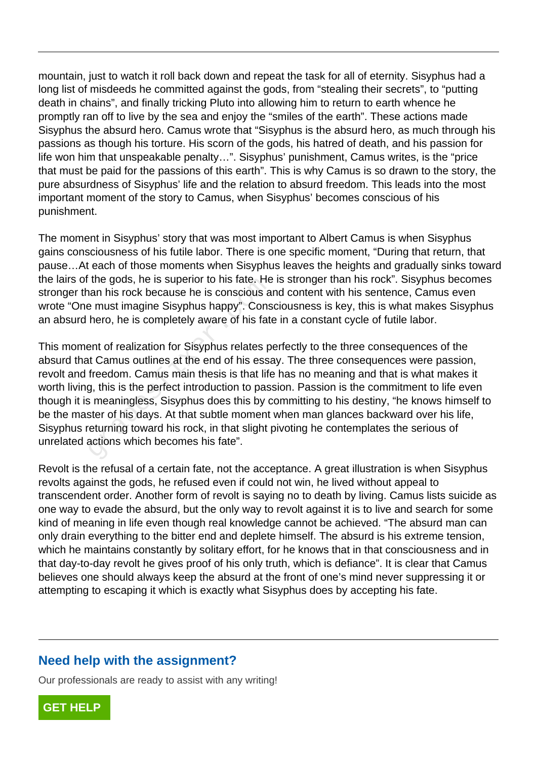mountain, just to watch it roll back down and repeat the task for all of eternity. Sisyphus had a long list of misdeeds he committed against the gods, from "stealing their secrets", to "putting death in chains", and finally tricking Pluto into allowing him to return to earth whence he promptly ran off to live by the sea and enjoy the "smiles of the earth". These actions made Sisyphus the absurd hero. Camus wrote that "Sisyphus is the absurd hero, as much through his passions as though his torture. His scorn of the gods, his hatred of death, and his passion for life won him that unspeakable penalty…". Sisyphus' punishment, Camus writes, is the "price that must be paid for the passions of this earth". This is why Camus is so drawn to the story, the pure absurdness of Sisyphus' life and the relation to absurd freedom. This leads into the most important moment of the story to Camus, when Sisyphus' becomes conscious of his punishment.

The moment in Sisyphus' story that was most important to Albert Camus is when Sisyphus gains consciousness of his futile labor. There is one specific moment, "During that return, that pause…At each of those moments when Sisyphus leaves the heights and gradually sinks toward the lairs of the gods, he is superior to his fate. He is stronger than his rock". Sisyphus becomes stronger than his rock because he is conscious and content with his sentence, Camus even wrote "One must imagine Sisyphus happy". Consciousness is key, this is what makes Sisyphus an absurd hero, he is completely aware of his fate in a constant cycle of futile labor.

This moment of realization for Sisyphus relates perfectly to the three consequences of the absurd that Camus outlines at the end of his essay. The three consequences were passion, revolt and freedom. Camus main thesis is that life has no meaning and that is what makes it worth living, this is the perfect introduction to passion. Passion is the commitment to life even though it is meaningless, Sisyphus does this by committing to his destiny, "he knows himself to be the master of his days. At that subtle moment when man glances backward over his life, Sisyphus returning toward his rock, in that slight pivoting he contemplates the serious of unrelated actions which becomes his fate". The gods, he is superior to his fate. He<br>han his rock because he is conscious a<br>e must imagine Sisyphus happy". Cons<br>hero, he is completely aware of his fate<br>ent of realization for Sisyphus relates p<br>it Camus outlines at t

Revolt is the refusal of a certain fate, not the acceptance. A great illustration is when Sisyphus revolts against the gods, he refused even if could not win, he lived without appeal to transcendent order. Another form of revolt is saying no to death by living. Camus lists suicide as one way to evade the absurd, but the only way to revolt against it is to live and search for some kind of meaning in life even though real knowledge cannot be achieved. "The absurd man can only drain everything to the bitter end and deplete himself. The absurd is his extreme tension, which he maintains constantly by solitary effort, for he knows that in that consciousness and in that day-to-day revolt he gives proof of his only truth, which is defiance". It is clear that Camus believes one should always keep the absurd at the front of one's mind never suppressing it or attempting to escaping it which is exactly what Sisyphus does by accepting his fate.

## **Need help with the assignment?**

Our professionals are ready to assist with any writing!